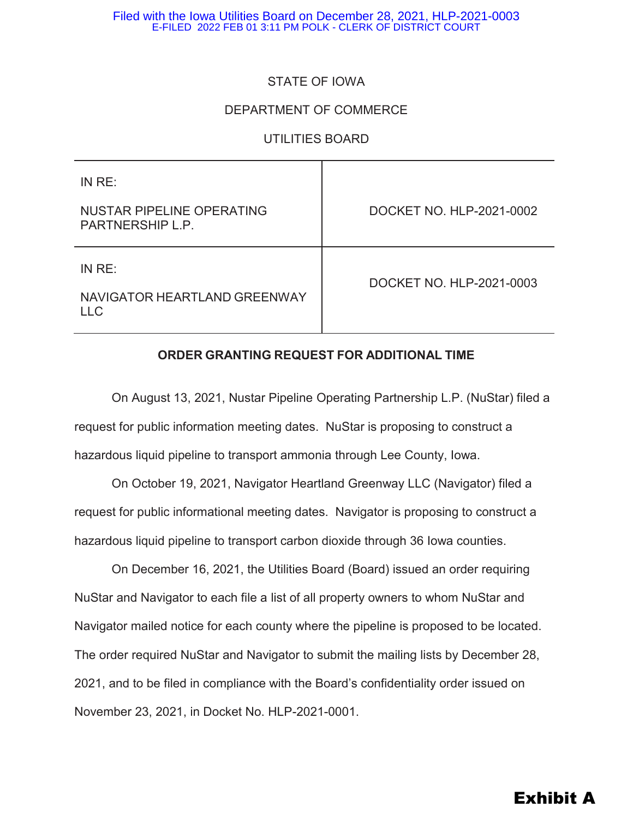### STATE OF IOWA

### DEPARTMENT OF COMMERCE

### UTILITIES BOARD

| IN RE:                                               |                          |
|------------------------------------------------------|--------------------------|
| NUSTAR PIPELINE OPERATING<br>PARTNERSHIP L.P.        | DOCKET NO. HLP-2021-0002 |
| IN RE:<br>NAVIGATOR HEARTLAND GREENWAY<br><b>LLC</b> | DOCKET NO. HLP-2021-0003 |

### **ORDER GRANTING REQUEST FOR ADDITIONAL TIME**

On August 13, 2021, Nustar Pipeline Operating Partnership L.P. (NuStar) filed a request for public information meeting dates. NuStar is proposing to construct a hazardous liquid pipeline to transport ammonia through Lee County, Iowa.

On October 19, 2021, Navigator Heartland Greenway LLC (Navigator) filed a request for public informational meeting dates. Navigator is proposing to construct a hazardous liquid pipeline to transport carbon dioxide through 36 Iowa counties.

On December 16, 2021, the Utilities Board (Board) issued an order requiring NuStar and Navigator to each file a list of all property owners to whom NuStar and Navigator mailed notice for each county where the pipeline is proposed to be located. The order required NuStar and Navigator to submit the mailing lists by December 28, 2021, and to be filed in compliance with the Board's confidentiality order issued on November 23, 2021, in Docket No. HLP-2021-0001.

# Exhibit A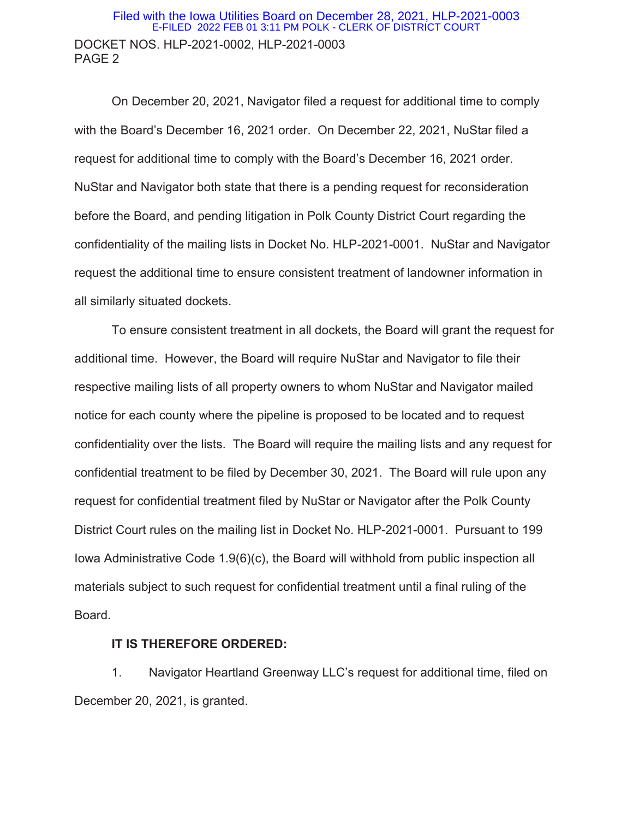### DOCKET NOS. HLP-2021-0002, HLP-2021-0003 PAGE 2 Filed with the Iowa Utilities Board on December 28, 2021, HLP-2021-0003 E-FILED 2022 FEB 01 3:11 PM POLK - CLERK OF DISTRICT COURT

 On December 20, 2021, Navigator filed a request for additional time to comply with the Board's December 16, 2021 order. On December 22, 2021, NuStar filed a request for additional time to comply with the Board's December 16, 2021 order. NuStar and Navigator both state that there is a pending request for reconsideration before the Board, and pending litigation in Polk County District Court regarding the confidentiality of the mailing lists in Docket No. HLP-2021-0001. NuStar and Navigator request the additional time to ensure consistent treatment of landowner information in all similarly situated dockets.

 To ensure consistent treatment in all dockets, the Board will grant the request for additional time. However, the Board will require NuStar and Navigator to file their respective mailing lists of all property owners to whom NuStar and Navigator mailed notice for each county where the pipeline is proposed to be located and to request confidentiality over the lists. The Board will require the mailing lists and any request for confidential treatment to be filed by December 30, 2021. The Board will rule upon any request for confidential treatment filed by NuStar or Navigator after the Polk County District Court rules on the mailing list in Docket No. HLP-2021-0001. Pursuant to 199 Iowa Administrative Code 1.9(6)(c), the Board will withhold from public inspection all materials subject to such request for confidential treatment until a final ruling of the Board.

#### **IT IS THEREFORE ORDERED:**

1. Navigator Heartland Greenway LLC's request for additional time, filed on December 20, 2021, is granted.